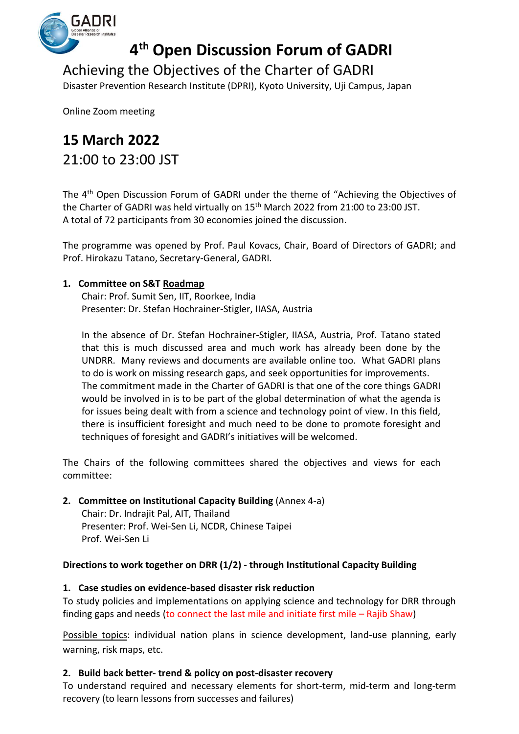

# **4 th Open Discussion Forum of GADRI**

Achieving the Objectives of the Charter of GADRI

Disaster Prevention Research Institute (DPRI), Kyoto University, Uji Campus, Japan

Online Zoom meeting

# **15 March 2022** 21:00 to 23:00 JST

The 4<sup>th</sup> Open Discussion Forum of GADRI under the theme of "Achieving the Objectives of the Charter of GADRI was held virtually on 15th March 2022 from 21:00 to 23:00 JST. A total of 72 participants from 30 economies joined the discussion.

The programme was opened by Prof. Paul Kovacs, Chair, Board of Directors of GADRI; and Prof. Hirokazu Tatano, Secretary-General, GADRI.

# **1. Committee on S&T Roadmap**

Chair: Prof. Sumit Sen, IIT, Roorkee, India Presenter: Dr. Stefan Hochrainer-Stigler, IIASA, Austria

In the absence of Dr. Stefan Hochrainer-Stigler, IIASA, Austria, Prof. Tatano stated that this is much discussed area and much work has already been done by the UNDRR. Many reviews and documents are available online too. What GADRI plans to do is work on missing research gaps, and seek opportunities for improvements. The commitment made in the Charter of GADRI is that one of the core things GADRI would be involved in is to be part of the global determination of what the agenda is for issues being dealt with from a science and technology point of view. In this field, there is insufficient foresight and much need to be done to promote foresight and techniques of foresight and GADRI's initiatives will be welcomed.

The Chairs of the following committees shared the objectives and views for each committee:

## **2. Committee on Institutional Capacity Building** (Annex 4-a)

Chair: Dr. Indrajit Pal, AIT, Thailand Presenter: Prof. Wei-Sen Li, NCDR, Chinese Taipei Prof. Wei-Sen Li

## **Directions to work together on DRR (1/2) - through Institutional Capacity Building**

## **1. Case studies on evidence-based disaster risk reduction**

To study policies and implementations on applying science and technology for DRR through finding gaps and needs (to connect the last mile and initiate first mile – Rajib Shaw)

Possible topics: individual nation plans in science development, land-use planning, early warning, risk maps, etc.

## **2. Build back better- trend & policy on post-disaster recovery**

To understand required and necessary elements for short-term, mid-term and long-term recovery (to learn lessons from successes and failures)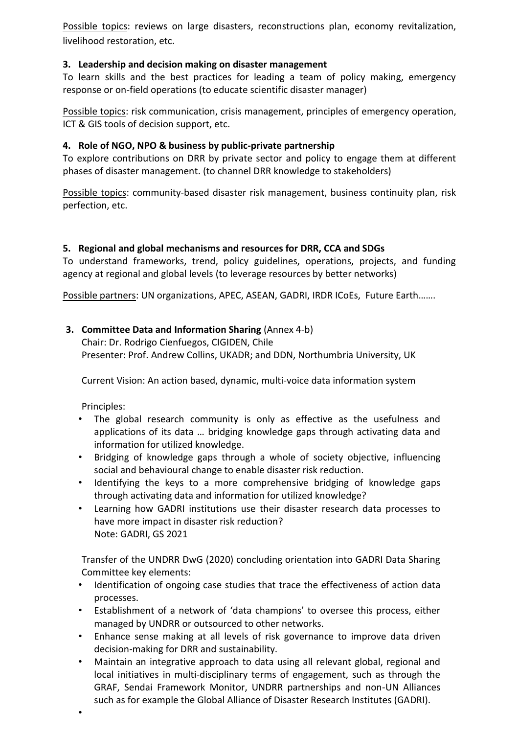Possible topics: reviews on large disasters, reconstructions plan, economy revitalization, livelihood restoration, etc.

## **3. Leadership and decision making on disaster management**

To learn skills and the best practices for leading a team of policy making, emergency response or on-field operations (to educate scientific disaster manager)

Possible topics: risk communication, crisis management, principles of emergency operation, ICT & GIS tools of decision support, etc.

#### **4. Role of NGO, NPO & business by public-private partnership**

To explore contributions on DRR by private sector and policy to engage them at different phases of disaster management. (to channel DRR knowledge to stakeholders)

Possible topics: community-based disaster risk management, business continuity plan, risk perfection, etc.

#### **5. Regional and global mechanisms and resources for DRR, CCA and SDGs**

To understand frameworks, trend, policy guidelines, operations, projects, and funding agency at regional and global levels (to leverage resources by better networks)

Possible partners: UN organizations, APEC, ASEAN, GADRI, IRDR ICoEs, Future Earth…….

## **3. Committee Data and Information Sharing** (Annex 4-b)

Chair: Dr. Rodrigo Cienfuegos, CIGIDEN, Chile Presenter: Prof. Andrew Collins, UKADR; and DDN, Northumbria University, UK

Current Vision: An action based, dynamic, multi-voice data information system

Principles:

•

- The global research community is only as effective as the usefulness and applications of its data … bridging knowledge gaps through activating data and information for utilized knowledge.
- Bridging of knowledge gaps through a whole of society objective, influencing social and behavioural change to enable disaster risk reduction.
- Identifying the keys to a more comprehensive bridging of knowledge gaps through activating data and information for utilized knowledge?
- Learning how GADRI institutions use their disaster research data processes to have more impact in disaster risk reduction? Note: GADRI, GS 2021

Transfer of the UNDRR DwG (2020) concluding orientation into GADRI Data Sharing Committee key elements:

- Identification of ongoing case studies that trace the effectiveness of action data processes.
- Establishment of a network of 'data champions' to oversee this process, either managed by UNDRR or outsourced to other networks.
- Enhance sense making at all levels of risk governance to improve data driven decision-making for DRR and sustainability.
- Maintain an integrative approach to data using all relevant global, regional and local initiatives in multi-disciplinary terms of engagement, such as through the GRAF, Sendai Framework Monitor, UNDRR partnerships and non-UN Alliances such as for example the Global Alliance of Disaster Research Institutes (GADRI).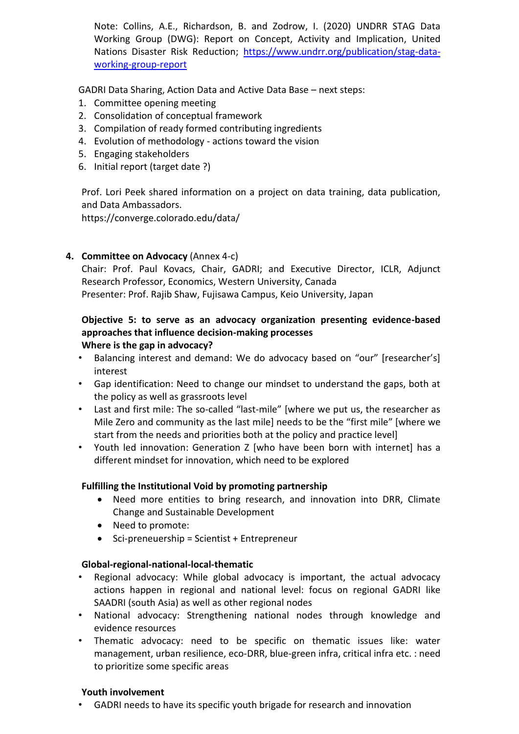Note: Collins, A.E., Richardson, B. and Zodrow, I. (2020) UNDRR STAG Data Working Group (DWG): Report on Concept, Activity and Implication, United Nations Disaster Risk Reduction; [https://www.undrr.org/publication/stag-data](https://www.undrr.org/publication/stag-data-working-group-report)[working-group-report](https://www.undrr.org/publication/stag-data-working-group-report)

GADRI Data Sharing, Action Data and Active Data Base – next steps:

- 1. Committee opening meeting
- 2. Consolidation of conceptual framework
- 3. Compilation of ready formed contributing ingredients
- 4. Evolution of methodology actions toward the vision
- 5. Engaging stakeholders
- 6. Initial report (target date ?)

Prof. Lori Peek shared information on a project on data training, data publication, and Data Ambassadors.

https://converge.colorado.edu/data/

## **4. Committee on Advocacy** (Annex 4-c)

Chair: Prof. Paul Kovacs, Chair, GADRI; and Executive Director, ICLR, Adjunct Research Professor, Economics, Western University, Canada Presenter: Prof. Rajib Shaw, Fujisawa Campus, Keio University, Japan

#### **Objective 5: to serve as an advocacy organization presenting evidence-based approaches that influence decision-making processes Where is the gap in advocacy?**

- Balancing interest and demand: We do advocacy based on "our" [researcher's] interest
- Gap identification: Need to change our mindset to understand the gaps, both at the policy as well as grassroots level
- Last and first mile: The so-called "last-mile" [where we put us, the researcher as Mile Zero and community as the last mile] needs to be the "first mile" [where we start from the needs and priorities both at the policy and practice level]
- Youth led innovation: Generation Z [who have been born with internet] has a different mindset for innovation, which need to be explored

## **Fulfilling the Institutional Void by promoting partnership**

- Need more entities to bring research, and innovation into DRR, Climate Change and Sustainable Development
- Need to promote:
- Sci-preneuership = Scientist + Entrepreneur

## **Global-regional-national-local-thematic**

- Regional advocacy: While global advocacy is important, the actual advocacy actions happen in regional and national level: focus on regional GADRI like SAADRI (south Asia) as well as other regional nodes
- National advocacy: Strengthening national nodes through knowledge and evidence resources
- Thematic advocacy: need to be specific on thematic issues like: water management, urban resilience, eco-DRR, blue-green infra, critical infra etc. : need to prioritize some specific areas

#### **Youth involvement**

• GADRI needs to have its specific youth brigade for research and innovation